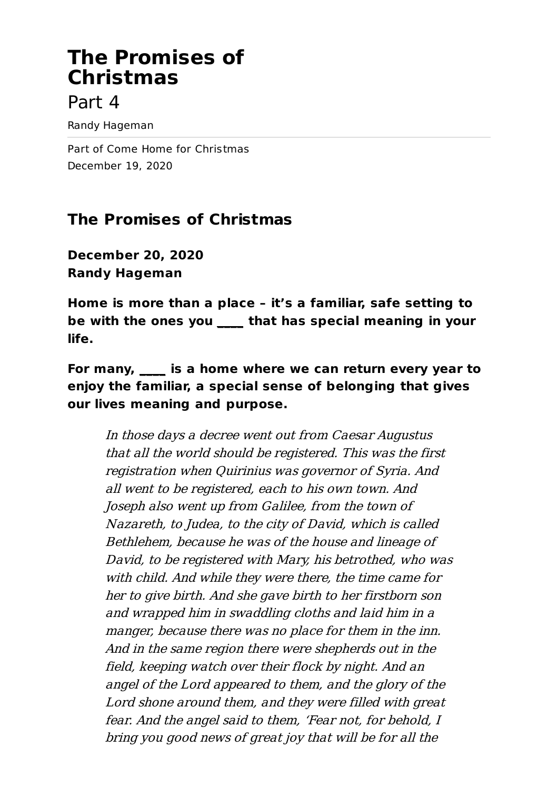# **The Promises of Christmas**

# Part 4

Randy Hageman

Part of Come Home for Christmas December 19, 2020

## **The Promises of Christmas**

**December 20, 2020 Randy Hageman**

**Home is more than a place – it's a familiar, safe setting to be with the ones you \_\_\_\_ that has special meaning in your life.**

**For many, \_\_\_\_ is a home where we can return every year to enjoy the familiar, a special sense of belonging that gives our lives meaning and purpose.**

In those days <sup>a</sup> decree went out from Caesar Augustus that all the world should be registered. This was the first registration when Quirinius was governor of Syria. And all went to be registered, each to his own town. And Joseph also went up from Galilee, from the town of Nazareth, to Judea, to the city of David, which is called Bethlehem, because he was of the house and lineage of David, to be registered with Mary, his betrothed, who was with child. And while they were there, the time came for her to give birth. And she gave birth to her firstborn son and wrapped him in swaddling cloths and laid him in <sup>a</sup> manger, because there was no place for them in the inn. And in the same region there were shepherds out in the field, keeping watch over their flock by night. And an angel of the Lord appeared to them, and the glory of the Lord shone around them, and they were filled with great fear. And the angel said to them, 'Fear not, for behold, I bring you good news of great joy that will be for all the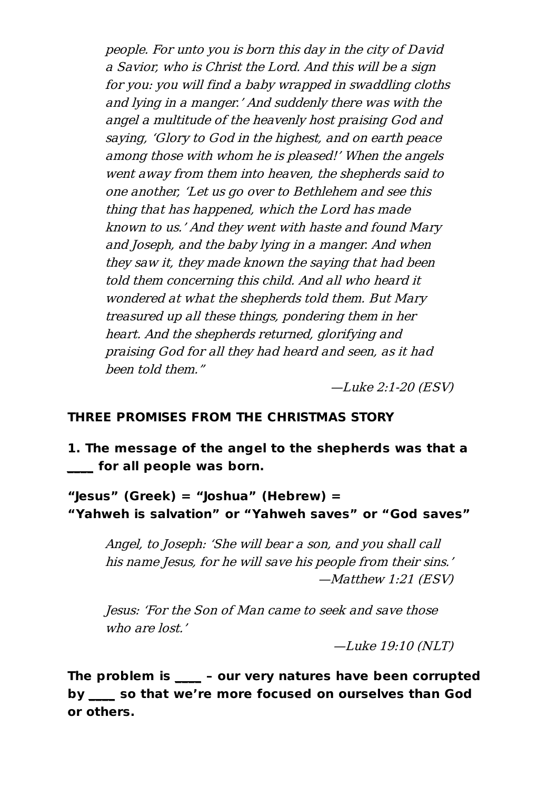people. For unto you is born this day in the city of David <sup>a</sup> Savior, who is Christ the Lord. And this will be <sup>a</sup> sign for you: you will find <sup>a</sup> baby wrapped in swaddling cloths and lying in <sup>a</sup> manger.' And suddenly there was with the angel <sup>a</sup> multitude of the heavenly host praising God and saying, 'Glory to God in the highest, and on earth peace among those with whom he is pleased!' When the angels went away from them into heaven, the shepherds said to one another, 'Let us go over to Bethlehem and see this thing that has happened, which the Lord has made known to us.' And they went with haste and found Mary and Joseph, and the baby lying in <sup>a</sup> manger. And when they saw it, they made known the saying that had been told them concerning this child. And all who heard it wondered at what the shepherds told them. But Mary treasured up all these things, pondering them in her heart. And the shepherds returned, glorifying and praising God for all they had heard and seen, as it had been told them."

—Luke 2:1-20 (ESV)

#### **THREE PROMISES FROM THE CHRISTMAS STORY**

**1. The message of the angel to the shepherds was that a \_\_\_\_ for all people was born.**

**"Jesus" (Greek) = "Joshua" (Hebrew) = "Yahweh is salvation" or "Yahweh saves" or "God saves"**

Angel, to Joseph: 'She will bear <sup>a</sup> son, and you shall call his name Jesus, for he will save his people from their sins.' —Matthew 1:21 (ESV)

Jesus: 'For the Son of Man came to seek and save those who are lost'

—Luke 19:10 (NLT)

**The problem is \_\_\_\_ – our very natures have been corrupted by \_\_\_\_ so that we're more focused on ourselves than God or others.**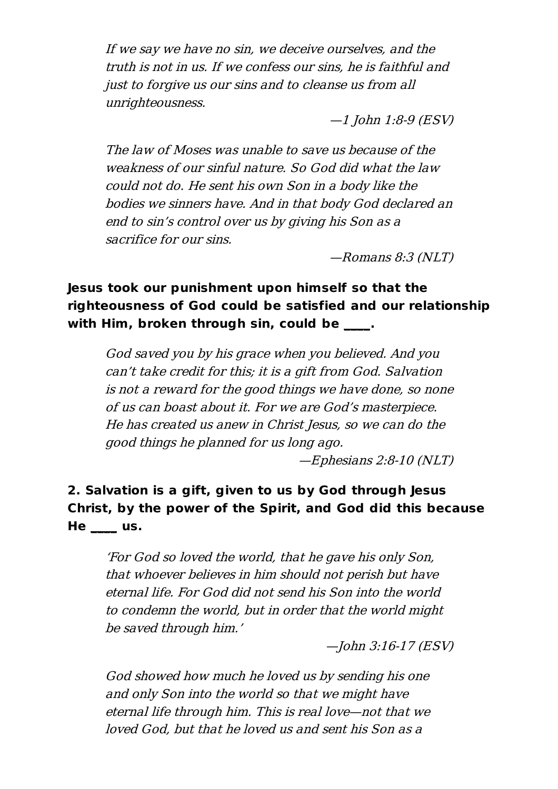If we say we have no sin, we deceive ourselves, and the truth is not in us. If we confess our sins, he is faithful and just to forgive us our sins and to cleanse us from all unrighteousness.

—1 John 1:8-9 (ESV)

The law of Moses was unable to save us because of the weakness of our sinful nature. So God did what the law could not do. He sent his own Son in <sup>a</sup> body like the bodies we sinners have. And in that body God declared an end to sin's control over us by giving his Son as <sup>a</sup> sacrifice for our sins.

—Romans 8:3 (NLT)

### **Jesus took our punishment upon himself so that the righteousness of God could be satisfied and our relationship with Him, broken through sin, could be \_\_\_\_.**

God saved you by his grace when you believed. And you can't take credit for this; it is <sup>a</sup> gift from God. Salvation is not <sup>a</sup> reward for the good things we have done, so none of us can boast about it. For we are God's masterpiece. He has created us anew in Christ Jesus, so we can do the good things he planned for us long ago.

—Ephesians 2:8-10 (NLT)

### **2. Salvation is a gift, given to us by God through Jesus Christ, by the power of the Spirit, and God did this because He \_\_\_\_ us.**

'For God so loved the world, that he gave his only Son, that whoever believes in him should not perish but have eternal life. For God did not send his Son into the world to condemn the world, but in order that the world might be saved through him.'

—John 3:16-17 (ESV)

God showed how much he loved us by sending his one and only Son into the world so that we might have eternal life through him. This is real love—not that we loved God, but that he loved us and sent his Son as <sup>a</sup>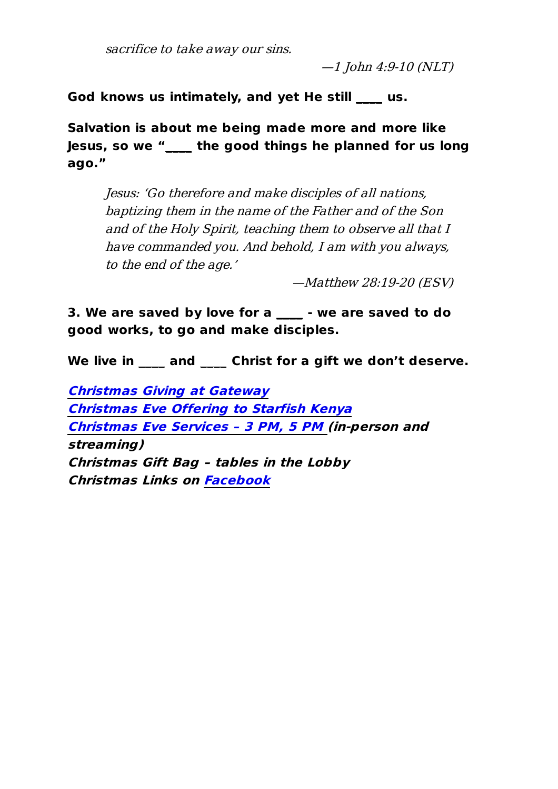sacrifice to take away our sins.

 $-1$  John 4:9-10 (NLT)

**God knows us intimately, and yet He still \_\_\_\_ us.**

**Salvation is about me being made more and more like Jesus, so we "\_\_\_\_ the good things he planned for us long ago."**

Jesus: 'Go therefore and make disciples of all nations, baptizing them in the name of the Father and of the Son and of the Holy Spirit, teaching them to observe all that I have commanded you. And behold, I am with you always, to the end of the age.'

—Matthew 28:19-20 (ESV)

**3. We are saved by love for a \_\_\_\_ - we are saved to do good works, to go and make disciples.**

**We live in \_\_\_\_ and \_\_\_\_ Christ for a gift we don't deserve.**

**Christmas Giving at [Gateway](https://www.gateway-community.org/cag-giving) Christmas Eve [Offering](https://secure.subsplash.com/ui/access/TBSS3Q/ute_wtzCwUwi2LAFyLmNSNM9YZsWiqjgnYeytHL5aQxa6YYMG2neYV3ODvoClF7iiyGp8gZTN67BgCrlgiMIP3VZwzBgohFjJH4tYR48w_uOc-DnX9_UT1KSKgDT6il-R3VgAy0gYS66n_KSaEcejug#/) to Starfish Kenya [Christmas](https://www.gateway-community.org/event/1617367-2020-12-24-christmas-eve-services-2020/) Eve Services – 3 PM, 5 PM (in-person and streaming) Christmas Gift Bag – tables in the Lobby Christmas Links on [Facebook](https://www.facebook.com/GatewayCommunity)**